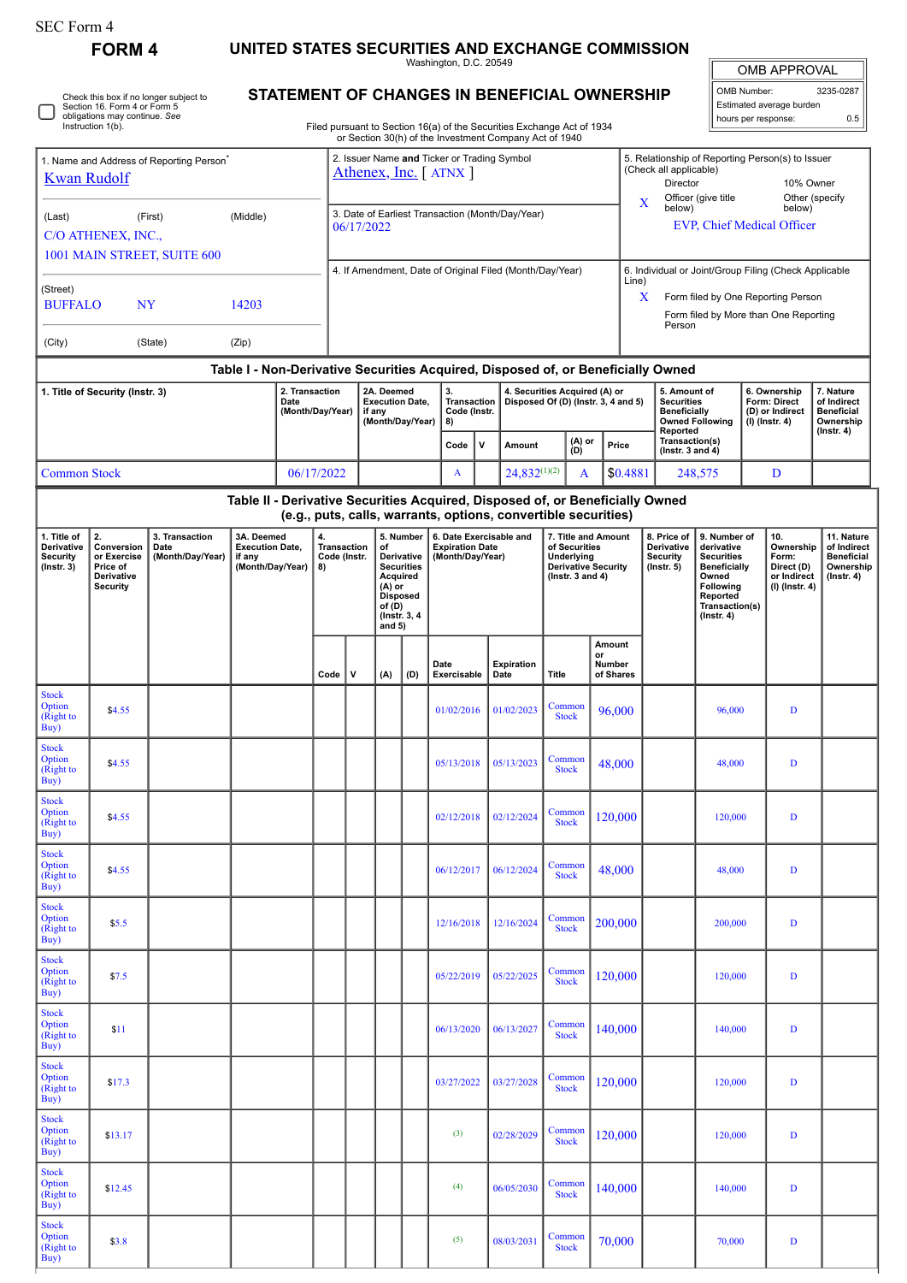**Option** (Right to Buy)

**FORM 4 UNITED STATES SECURITIES AND EXCHANGE COMMISSION**

Washington, D.C. 20549

OMB APPROVAL

| OMB Number:         | 3235-0287                |  |  |  |  |  |  |  |  |  |  |  |
|---------------------|--------------------------|--|--|--|--|--|--|--|--|--|--|--|
|                     | Estimated average burden |  |  |  |  |  |  |  |  |  |  |  |
| hours per response: | 0.5                      |  |  |  |  |  |  |  |  |  |  |  |

**7. Nature of Indirect Beneficial Ownership (Instr. 4)**

> **11. Nature of Indirect Beneficial Ownership (Instr. 4)**

 $\begin{array}{|c|c|c|c|c|c|c|c|} \hline \text{Common} & 70,000 & 70,000 & D \end{array}$ 

**STATEMENT OF CHANGES IN BENEFICIAL OWNERSHIP** Filed pursuant to Section 16(a) of the Securities Exchange Act of 1934 or Section 30(h) of the Investment Company Act of 1940 Check this box if no longer subject to Section 16. Form 4 or Form 5 obligations may continue. *See* Instruction 1(b). 1. Name and Address of Reporting Person<sup>\*</sup> [Kwan Rudolf](http://www.sec.gov/cgi-bin/browse-edgar?action=getcompany&CIK=0001708965) (Last) (First) (Middle) C/O ATHENEX, INC., 1001 MAIN STREET, SUITE 600 (Street) BUFFALO NY 14203 (City) (State) (Zip) 2. Issuer Name **and** Ticker or Trading Symbol [Athenex, Inc.](http://www.sec.gov/cgi-bin/browse-edgar?action=getcompany&CIK=0001300699) [ ATNX ] 5. Relationship of Reporting Person(s) to Issuer (Check all applicable) Director 10% Owner X Officer (give title below) Other (specify below) EVP, Chief Medical Officer 3. Date of Earliest Transaction (Month/Day/Year) 06/17/2022 4. If Amendment, Date of Original Filed (Month/Day/Year) 6. Individual or Joint/Group Filing (Check Applicable  $L$ ine) X Form filed by One Reporting Person Form filed by More than One Reporting Person **Table I - Non-Derivative Securities Acquired, Disposed of, or Beneficially Owned 1. Title of Security (Instr. 3) 2. Transaction Date (Month/Day/Year) 2A. Deemed Execution Date, if any (Month/Day/Year) 3. Transaction Code (Instr. 8) 4. Securities Acquired (A) or Disposed Of (D) (Instr. 3, 4 and 5) 5. Amount of Securities Beneficially Owned Following Reported Transaction(s) (Instr. 3 and 4) 6. Ownership Form: Direct (D) or Indirect (I) (Instr. 4) Code <sup>V</sup> Amount (A) or (D) Price** Common Stock 06/17/2022 A 24,832<sup>(1)(2)</sup> A \$0.4881 248,575 D **Table II - Derivative Securities Acquired, Disposed of, or Beneficially Owned (e.g., puts, calls, warrants, options, convertible securities) 1. Title of Derivative Security (Instr. 3) 2. Conversion or Exercise Price of Derivative Security 3. Transaction Date (Month/Day/Year) 3A. Deemed Execution Date, if any (Month/Day/Year) 4. Transaction Code (Instr. 8) 5. Number of Derivative Securities Acquired (A) or Disposed of (D) (Instr. 3, 4 and 5) 6. Date Exercisable and Expiration Date (Month/Day/Year) 7. Title and Amount of Securities Underlying Derivative Security (Instr. 3 and 4) 8. Price of Derivative Security (Instr. 5) 9. Number of derivative Securities Beneficially Owned Following Reported Transaction(s) (Instr. 4) 10. Ownership Form: Direct (D) or Indirect (I) (Instr. 4) Code V (A) (D) Date Exercisable Expiration Date Title Amount or Number of Shares** Stock Option (Right to Buy)  $\frac{1}{24.55}$   $\frac{1}{201/02/2016}$   $\frac{1}{201/02/2023}$  Common  $\begin{array}{|c|c|c|c|c|c|c|c|c|} \hline \text{Common} & 96,000 & 96,000 & D \ \hline \end{array}$ Stock **Option** (Right to Buy) \$4.55 05/13/2018 05/13/2023 Common  $\begin{array}{|c|c|c|c|c|c|c|c|} \hline \text{ommon} & 48,000 & 48,000 & D \\ \hline \end{array}$ Stock Option (Right to  $\tilde{B}uy)$ \$4.55 02/12/2018 02/12/2024 Common  $\begin{array}{|c|c|c|c|c|c|c|c|c|} \hline \text{Common} & 120,000 & 120,000 & D \end{array}$ Stock **Option** (Right to  $\overline{Buy}$ \$4.55 06/12/2017 06/12/2024 Common  $\begin{array}{|c|c|c|c|c|c|c|c|} \hline \text{ommon} & 48,000 & 48,000 & D \\ \hline \end{array}$ Stock Option (Right to Buy) \$5.5 12/16/2018 12/16/2024 Common  $\begin{array}{|c|c|c|c|c|c|c|c|} \hline \text{Common} & 200,000 & & & \text{D} \ \text{Stock} & 200,000 & & & \text{D} \ \hline \end{array}$ Stock **Option** (Right to  $Buv$  $\int$  57.5 common density  $\int$  05/22/2019 05/22/2025 Common density  $\int$  05/22/2025  $\int$  Common density  $\int$  05/22/2025  $\int$  Common density  $\int$  05/22/2025  $\int$  Common density  $\int$  05/22/2025  $\int$  Common density  $\int$  05/22  $\begin{array}{|c|c|c|c|c|c|c|c|c|c|} \hline \text{Common} & 120,000 & & & \text{D} \ \hline \text{Stock} & 120,000 & & & \text{D} \ \hline \end{array}$ Stock **Option** (Right to  $\widetilde{\mathbf{B}}$ uv) \$<sup>11</sup> 06/13/2020 06/13/2027 Common  $\begin{array}{|c|c|c|c|c|c|}\n\hline \text{Common} & 140,000 & 140,000 & D\n\end{array}$ Stock **Option** (Right to Buy)  $\int_{0.3/27/2022}^{\infty}$  03/27/2022 03/27/2028 Common  $\begin{array}{|c|c|c|c|c|c|c|c|c|} \hline \text{Common} & 120,000 & & \text{D} \end{array}$ Stock **Option** (Right to Buy) \$13.17 (3) 02/28/2029 Common common contract to  $\frac{3}{2}$  02/28/2029 Common contract to  $\frac{3}{2}$  $\begin{array}{|c|c|c|c|c|c|c|c|c|} \hline \text{ommon} & 120,000 & & 120,000 & & D \\ \hline \text{Stock} & & 120,000 & & & \end{array}$ Stock Option (Right to Buy) \$12.45 (4) (4)  $(4)$  (5/05/2030 Common common common common common common common common common common common common common common common common common common common common common common common common common common common  $\begin{array}{|c|c|c|c|c|c|}\n\hline \text{Common} & 140,000 & & 140,000 & D \end{array}$ Stock

\$3.8 (5) 08/03/2031 Common common contract of the contract of the contract of the contract of the contract of the contract of the contract of the contract of the contract of the contract of the contract of the contract of